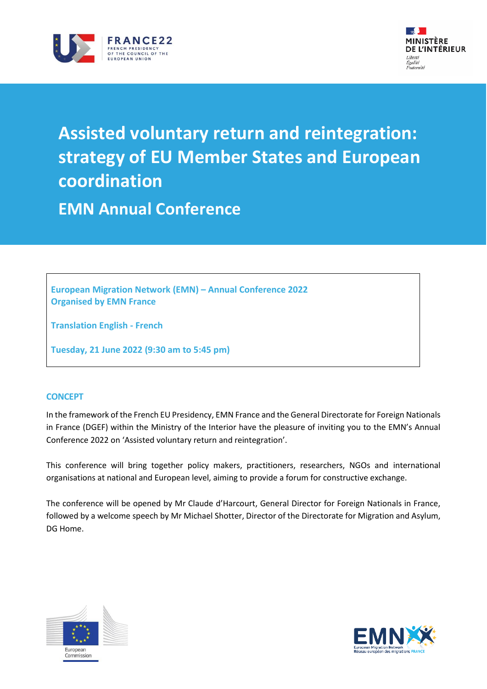



## **Assisted voluntary return and reintegration: strategy of EU Member States and European coordination**

**EMN Annual Conference**

**European Migration Network (EMN) – Annual Conference 2022 Organised by EMN France**

**Translation English - French**

**Tuesday, 21 June 2022 (9:30 am to 5:45 pm)**

## **CONCEPT**

In the framework of the French EU Presidency, EMN France and the General Directorate for Foreign Nationals in France (DGEF) within the Ministry of the Interior have the pleasure of inviting you to the EMN's Annual Conference 2022 on 'Assisted voluntary return and reintegration'.

This conference will bring together policy makers, practitioners, researchers, NGOs and international organisations at national and European level, aiming to provide a forum for constructive exchange.

The conference will be opened by Mr Claude d'Harcourt, General Director for Foreign Nationals in France, followed by a welcome speech by Mr Michael Shotter, Director of the Directorate for Migration and Asylum, DG Home.



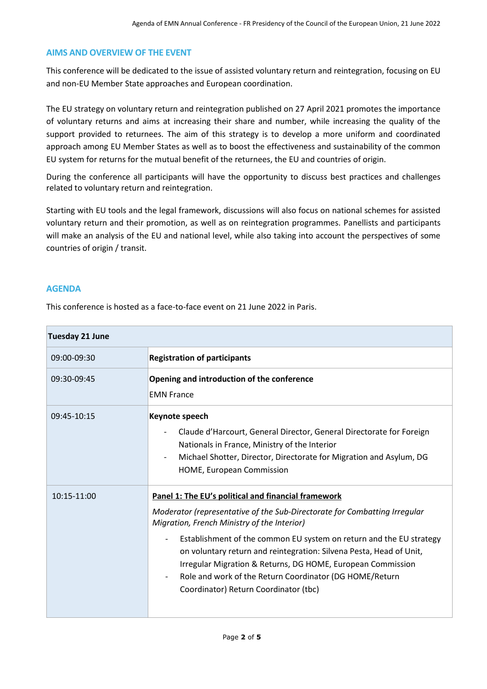## **AIMS AND OVERVIEW OF THE EVENT**

This conference will be dedicated to the issue of assisted voluntary return and reintegration, focusing on EU and non-EU Member State approaches and European coordination.

The EU strategy on voluntary return and reintegration published on 27 April 2021 promotes the importance of voluntary returns and aims at increasing their share and number, while increasing the quality of the support provided to returnees. The aim of this strategy is to develop a more uniform and coordinated approach among EU Member States as well as to boost the effectiveness and sustainability of the common EU system for returns for the mutual benefit of the returnees, the EU and countries of origin.

During the conference all participants will have the opportunity to discuss best practices and challenges related to voluntary return and reintegration.

Starting with EU tools and the legal framework, discussions will also focus on national schemes for assisted voluntary return and their promotion, as well as on reintegration programmes. Panellists and participants will make an analysis of the EU and national level, while also taking into account the perspectives of some countries of origin / transit.

## **AGENDA**

This conference is hosted as a face-to-face event on 21 June 2022 in Paris.

| <b>Tuesday 21 June</b> |                                                                                                                                                                                                                                                                                                                                                                                                                                                                                                  |  |
|------------------------|--------------------------------------------------------------------------------------------------------------------------------------------------------------------------------------------------------------------------------------------------------------------------------------------------------------------------------------------------------------------------------------------------------------------------------------------------------------------------------------------------|--|
| 09:00-09:30            | <b>Registration of participants</b>                                                                                                                                                                                                                                                                                                                                                                                                                                                              |  |
| 09:30-09:45            | Opening and introduction of the conference<br><b>EMN France</b>                                                                                                                                                                                                                                                                                                                                                                                                                                  |  |
| 09:45-10:15            | Keynote speech<br>Claude d'Harcourt, General Director, General Directorate for Foreign<br>Nationals in France, Ministry of the Interior<br>Michael Shotter, Director, Directorate for Migration and Asylum, DG<br>HOME, European Commission                                                                                                                                                                                                                                                      |  |
| 10:15-11:00            | Panel 1: The EU's political and financial framework<br>Moderator (representative of the Sub-Directorate for Combatting Irregular<br>Migration, French Ministry of the Interior)<br>Establishment of the common EU system on return and the EU strategy<br>on voluntary return and reintegration: Silvena Pesta, Head of Unit,<br>Irregular Migration & Returns, DG HOME, European Commission<br>Role and work of the Return Coordinator (DG HOME/Return<br>Coordinator) Return Coordinator (tbc) |  |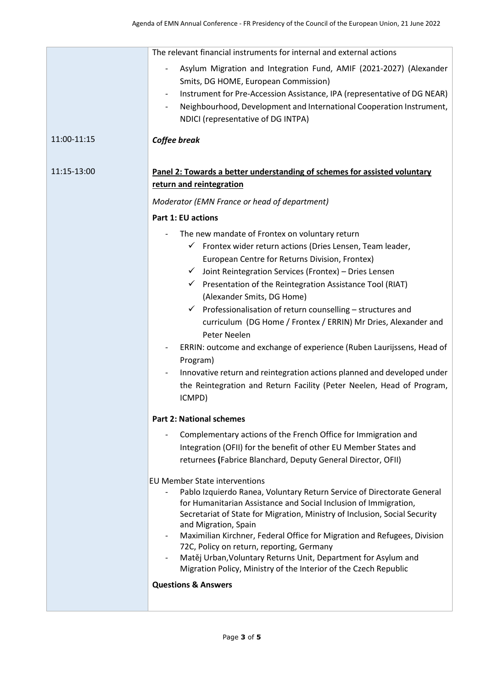| The relevant financial instruments for internal and external actions                                                                                                                                                                                                                                                                                                                                                                                                                                                                                                                                                                                                                                                                                                                    |
|-----------------------------------------------------------------------------------------------------------------------------------------------------------------------------------------------------------------------------------------------------------------------------------------------------------------------------------------------------------------------------------------------------------------------------------------------------------------------------------------------------------------------------------------------------------------------------------------------------------------------------------------------------------------------------------------------------------------------------------------------------------------------------------------|
| Asylum Migration and Integration Fund, AMIF (2021-2027) (Alexander<br>Smits, DG HOME, European Commission)<br>Instrument for Pre-Accession Assistance, IPA (representative of DG NEAR)<br>Neighbourhood, Development and International Cooperation Instrument,<br>$\overline{\phantom{a}}$<br>NDICI (representative of DG INTPA)                                                                                                                                                                                                                                                                                                                                                                                                                                                        |
| Coffee break                                                                                                                                                                                                                                                                                                                                                                                                                                                                                                                                                                                                                                                                                                                                                                            |
| Panel 2: Towards a better understanding of schemes for assisted voluntary<br>return and reintegration                                                                                                                                                                                                                                                                                                                                                                                                                                                                                                                                                                                                                                                                                   |
| Moderator (EMN France or head of department)                                                                                                                                                                                                                                                                                                                                                                                                                                                                                                                                                                                                                                                                                                                                            |
| Part 1: EU actions                                                                                                                                                                                                                                                                                                                                                                                                                                                                                                                                                                                                                                                                                                                                                                      |
| The new mandate of Frontex on voluntary return<br>$\checkmark$ Frontex wider return actions (Dries Lensen, Team leader,<br>European Centre for Returns Division, Frontex)<br>$\checkmark$ Joint Reintegration Services (Frontex) - Dries Lensen<br>√ Presentation of the Reintegration Assistance Tool (RIAT)<br>(Alexander Smits, DG Home)<br>$\checkmark$ Professionalisation of return counselling – structures and<br>curriculum (DG Home / Frontex / ERRIN) Mr Dries, Alexander and<br>Peter Neelen<br>ERRIN: outcome and exchange of experience (Ruben Laurijssens, Head of<br>$\overline{\phantom{a}}$<br>Program)<br>Innovative return and reintegration actions planned and developed under<br>the Reintegration and Return Facility (Peter Neelen, Head of Program,<br>ICMPD) |
| <b>Part 2: National schemes</b>                                                                                                                                                                                                                                                                                                                                                                                                                                                                                                                                                                                                                                                                                                                                                         |
| Complementary actions of the French Office for Immigration and<br>Integration (OFII) for the benefit of other EU Member States and<br>returnees (Fabrice Blanchard, Deputy General Director, OFII)                                                                                                                                                                                                                                                                                                                                                                                                                                                                                                                                                                                      |
| <b>EU Member State interventions</b><br>Pablo Izquierdo Ranea, Voluntary Return Service of Directorate General<br>for Humanitarian Assistance and Social Inclusion of Immigration,<br>Secretariat of State for Migration, Ministry of Inclusion, Social Security<br>and Migration, Spain<br>Maximilian Kirchner, Federal Office for Migration and Refugees, Division<br>72C, Policy on return, reporting, Germany<br>Matěj Urban, Voluntary Returns Unit, Department for Asylum and<br>$\overline{\phantom{a}}$<br>Migration Policy, Ministry of the Interior of the Czech Republic<br><b>Questions &amp; Answers</b>                                                                                                                                                                   |
|                                                                                                                                                                                                                                                                                                                                                                                                                                                                                                                                                                                                                                                                                                                                                                                         |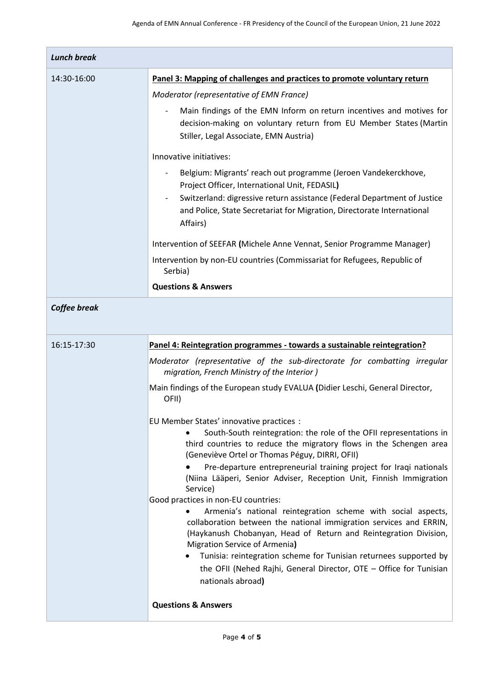| <b>Lunch break</b> |                                                                                                                                                                                                                                                                                                               |  |
|--------------------|---------------------------------------------------------------------------------------------------------------------------------------------------------------------------------------------------------------------------------------------------------------------------------------------------------------|--|
| 14:30-16:00        | Panel 3: Mapping of challenges and practices to promote voluntary return                                                                                                                                                                                                                                      |  |
|                    | Moderator (representative of EMN France)                                                                                                                                                                                                                                                                      |  |
|                    | Main findings of the EMN Inform on return incentives and motives for<br>decision-making on voluntary return from EU Member States (Martin<br>Stiller, Legal Associate, EMN Austria)                                                                                                                           |  |
|                    | Innovative initiatives:                                                                                                                                                                                                                                                                                       |  |
|                    | Belgium: Migrants' reach out programme (Jeroen Vandekerckhove,<br>$\overline{\phantom{a}}$<br>Project Officer, International Unit, FEDASIL)<br>Switzerland: digressive return assistance (Federal Department of Justice<br>and Police, State Secretariat for Migration, Directorate International<br>Affairs) |  |
|                    | Intervention of SEEFAR (Michele Anne Vennat, Senior Programme Manager)                                                                                                                                                                                                                                        |  |
|                    | Intervention by non-EU countries (Commissariat for Refugees, Republic of<br>Serbia)                                                                                                                                                                                                                           |  |
|                    | <b>Questions &amp; Answers</b>                                                                                                                                                                                                                                                                                |  |
| Coffee break       |                                                                                                                                                                                                                                                                                                               |  |
|                    |                                                                                                                                                                                                                                                                                                               |  |
| 16:15-17:30        | Panel 4: Reintegration programmes - towards a sustainable reintegration?                                                                                                                                                                                                                                      |  |
|                    | Moderator (representative of the sub-directorate for combatting irregular<br>migration, French Ministry of the Interior)                                                                                                                                                                                      |  |
|                    | Main findings of the European study EVALUA (Didier Leschi, General Director,<br>OFII)                                                                                                                                                                                                                         |  |
|                    | EU Member States' innovative practices :                                                                                                                                                                                                                                                                      |  |
|                    | South-South reintegration: the role of the OFII representations in<br>third countries to reduce the migratory flows in the Schengen area<br>(Geneviève Ortel or Thomas Péguy, DIRRI, OFII)                                                                                                                    |  |
|                    | Pre-departure entrepreneurial training project for Iraqi nationals<br>(Niina Lääperi, Senior Adviser, Reception Unit, Finnish Immigration<br>Service)                                                                                                                                                         |  |
|                    | Good practices in non-EU countries:                                                                                                                                                                                                                                                                           |  |
|                    | Armenia's national reintegration scheme with social aspects,<br>collaboration between the national immigration services and ERRIN,<br>(Haykanush Chobanyan, Head of Return and Reintegration Division,<br>Migration Service of Armenia)                                                                       |  |
|                    | Tunisia: reintegration scheme for Tunisian returnees supported by<br>the OFII (Nehed Rajhi, General Director, OTE - Office for Tunisian<br>nationals abroad)                                                                                                                                                  |  |